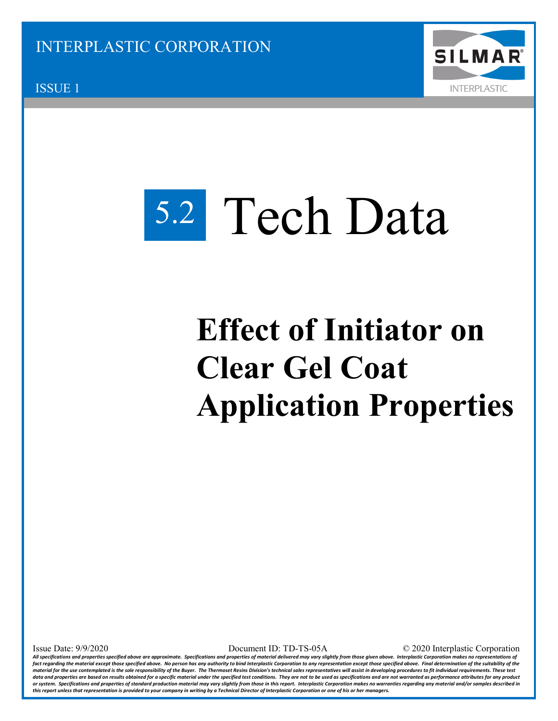

ISSUE 1

## Tech Data 5.2

## **Effect of Initiator on Clear Gel Coat Application Properties**

Issue Date: 9/9/2020 Document ID: TD-TS-05A © 2020 Interplastic Corporation

*All specifications and properties specified above are approximate. Specifications and properties of material delivered may vary slightly from those given above. Interplastic Corporation makes no representations of*  fact regarding the material except those specified above. No person has any authority to bind Interplastic Corporation to any representation except those specified above. Final determination of the suitability of the material for the use contemplated is the sole responsibility of the Buyer. The Thermoset Resins Division's technical sales representatives will assist in developing procedures to fit individual requirements. These test *data and properties are based on results obtained for a specific material under the specified test conditions. They are not to be used as specifications and are not warranted as performance attributes for any product*  or system. Specifications and properties of standard production material may vary slightly from those in this report. Interplastic Corporation makes no warranties regarding any material and/or samples described in *this report unless that representation is provided to your company in writing by a Technical Director of Interplastic Corporation or one of his or her managers.*